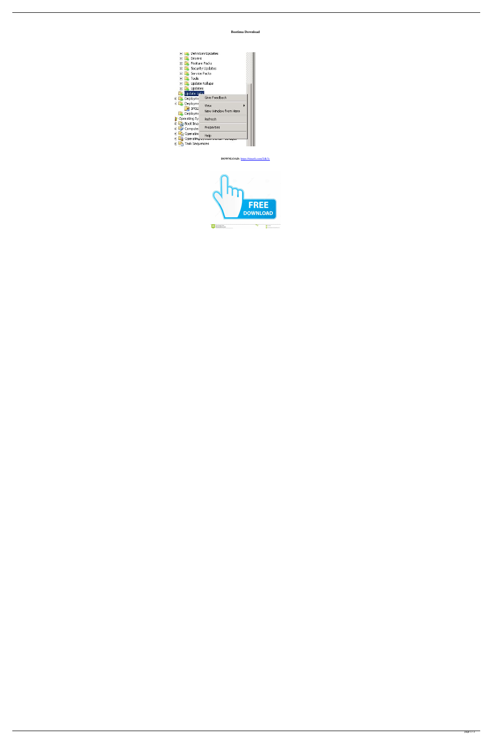## **Bootima Download**

| <b>Definition Updates</b>                       |                              |  |
|-------------------------------------------------|------------------------------|--|
| <b>Drivers</b><br>$\overline{+}$                |                              |  |
| <b>Feature Packs</b><br>$\overline{+}$          |                              |  |
| Security Updates<br>$\overline{+}$              |                              |  |
| Service Packs<br>$\overline{\mathbf{H}}$        |                              |  |
| , Tools<br>$\overline{+}$                       |                              |  |
| Update Rollups<br>$\overline{\mathbf{H}}$       |                              |  |
| Updates<br>$\blacksquare$                       |                              |  |
| <b>Update Lists</b>                             |                              |  |
| Deployme<br>日                                   | Give Feedback                |  |
| Deployme<br>SMS2<br><b>Deployme</b>             | View<br>New Window from Here |  |
| Operating Sy<br>Boot Ima<br>Ē                   | Refresh                      |  |
| Compute<br>Ē                                    | Properties                   |  |
| Operating<br>$\mathop{\sf Operatin}_{\S^{\pm}}$ | Helo                         |  |
| <b>Task Sequences</b><br>F                      |                              |  |

DOWNLOAD: https://tinurli.com/2ilk7c